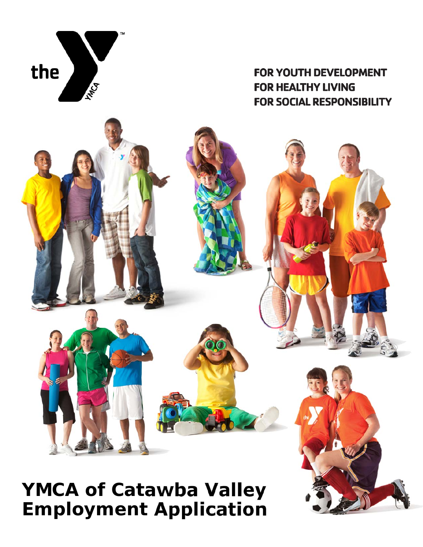

# **FOR YOUTH DEVELOPMENT FOR HEALTHY LIVING FOR SOCIAL RESPONSIBILITY**

# **YMCA of Catawba Valley Employment Application**

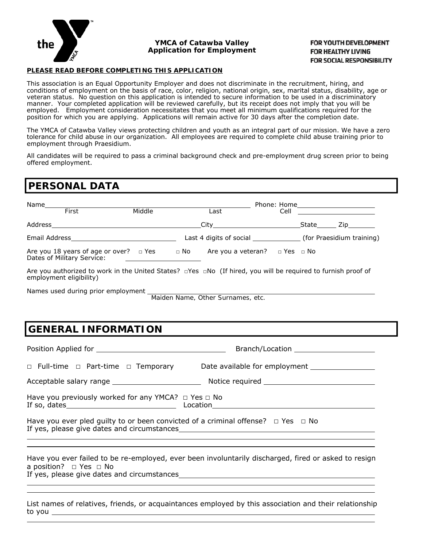

#### **YMCA of Catawba Valley Application for Employment**

#### FOR YOUTH DEVELOPMENT **FOR HEALTHY LIVING FOR SOCIAL RESPONSIBILITY**

#### **PLEASE READ BEFORE COMPLETING THIS APPLICATION**

This association is an Equal Opportunity Employer and does not discriminate in the recruitment, hiring, and conditions of employment on the basis of race, color, religion, national origin, sex, marital status, disability, age or veteran status. No question on this application is intended to secure information to be used in a discriminatory manner. Your completed application will be reviewed carefully, but its receipt does not imply that you will be employed. Employment consideration necessitates that you meet all minimum qualifications required for the position for which you are applying. Applications will remain active for 30 days after the completion date.

The YMCA of Catawba Valley views protecting children and youth as an integral part of our mission. We have a zero tolerance for child abuse in our organization. All employees are required to complete child abuse training prior to employment through Praesidium.

All candidates will be required to pass a criminal background check and pre-employment drug screen prior to being offered employment.

### **PERSONAL DATA**

| Name<br>First<br>Middle |                                                                       |  |           | Last                                    | Cell |       |                                                                                                                                                                                                                                  |
|-------------------------|-----------------------------------------------------------------------|--|-----------|-----------------------------------------|------|-------|----------------------------------------------------------------------------------------------------------------------------------------------------------------------------------------------------------------------------------|
| Address                 |                                                                       |  |           | City                                    |      | State | Zip in the set of the set of the set of the set of the set of the set of the set of the set of the set of the<br>Set of the set of the set of the set of the set of the set of the set of the set of the set of the set of the s |
|                         |                                                                       |  |           | Last 4 digits of social                 |      |       | (for Praesidium training)                                                                                                                                                                                                        |
|                         | Are you 18 years of age or over?  □ Yes<br>Dates of Military Service: |  | $\Box$ No | Are you a veteran? $\Box$ Yes $\Box$ No |      |       |                                                                                                                                                                                                                                  |

Are you authorized to work in the United States? □Yes □No (If hired, you will be required to furnish proof of employment eligibility)

Names used during prior employment

*Maiden Name, Other Surnames, etc.*

# **GENERAL INFORMATION**

Position Applied for Branch/Location □ Full-time □ Part-time □ Temporary Date available for employment Number 2012 Acceptable salary range Notice required Have you previously worked for any YMCA? □ Yes □ No If so, dates Location Have you ever pled quilty to or been convicted of a criminal offense?  $\Box$  Yes  $\Box$  No If yes, please give dates and circumstances  $\overline{a}$  $\overline{a}$ 

Have you ever failed to be re-employed, ever been involuntarily discharged, fired or asked to resign a position? □ Yes □ No If yes, please give dates and circumstances

 $\overline{a}$ 

 $\overline{a}$ 

List names of relatives, friends, or acquaintances employed by this association and their relationship to you  $\overline{a}$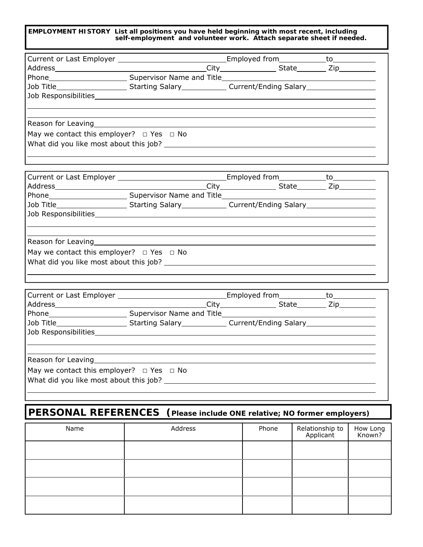**EMPLOYMENT HISTORY List all positions you have held beginning with most recent, including self-employment and volunteer work. Attach separate sheet if needed.**

| Phone <b>Example 2018</b> Supervisor Name and Title <b>Example 2018</b> Supervisor Name and Title |  |  |  |  |  |  |
|---------------------------------------------------------------------------------------------------|--|--|--|--|--|--|
| Job Title_________________________Starting Salary_______________________________                  |  |  |  |  |  |  |
|                                                                                                   |  |  |  |  |  |  |
|                                                                                                   |  |  |  |  |  |  |
|                                                                                                   |  |  |  |  |  |  |
|                                                                                                   |  |  |  |  |  |  |
| May we contact this employer? $\Box$ Yes $\Box$ No                                                |  |  |  |  |  |  |
| What did you like most about this job?                                                            |  |  |  |  |  |  |

| Job Title_________________________Starting Salary_______________Current/Ending Salary_________________________ |  |  |  |  |  |  |
|----------------------------------------------------------------------------------------------------------------|--|--|--|--|--|--|
|                                                                                                                |  |  |  |  |  |  |
|                                                                                                                |  |  |  |  |  |  |
|                                                                                                                |  |  |  |  |  |  |
|                                                                                                                |  |  |  |  |  |  |
| May we contact this employer? $\Box$ Yes $\Box$ No                                                             |  |  |  |  |  |  |
|                                                                                                                |  |  |  |  |  |  |

|                                                                                                                                                                                                                                  |  |  | City______________________State___________ Zip____________ |  |  |  |
|----------------------------------------------------------------------------------------------------------------------------------------------------------------------------------------------------------------------------------|--|--|------------------------------------------------------------|--|--|--|
|                                                                                                                                                                                                                                  |  |  |                                                            |  |  |  |
|                                                                                                                                                                                                                                  |  |  |                                                            |  |  |  |
|                                                                                                                                                                                                                                  |  |  |                                                            |  |  |  |
|                                                                                                                                                                                                                                  |  |  |                                                            |  |  |  |
|                                                                                                                                                                                                                                  |  |  |                                                            |  |  |  |
| Reason for Leaving<br>Notation of the Manuscript Contract of the Manuscript Contract of the Manuscript Contract of the Manuscript Contract Oriental District Contract Oriental District Contract Oriental District Contract Orie |  |  |                                                            |  |  |  |
| May we contact this employer? $\Box$ Yes $\Box$ No                                                                                                                                                                               |  |  |                                                            |  |  |  |
| What did you like most about this job?                                                                                                                                                                                           |  |  |                                                            |  |  |  |
|                                                                                                                                                                                                                                  |  |  |                                                            |  |  |  |

# **PERSONAL REFERENCES (Please include ONE relative; NO former employers)**

| Name | Address | Phone | Relationship to<br>Applicant | How Long<br>Known? |
|------|---------|-------|------------------------------|--------------------|
|      |         |       |                              |                    |
|      |         |       |                              |                    |
|      |         |       |                              |                    |
|      |         |       |                              |                    |